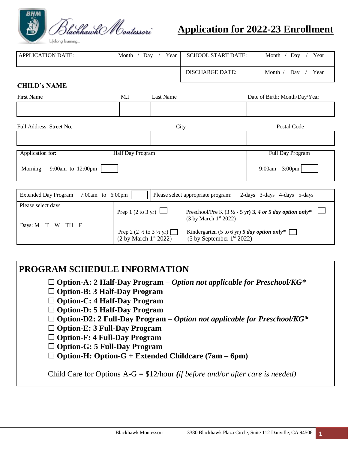

# **Application for 2022-23 Enrollment**

| <b>APPLICATION DATE:</b>     | Month / Day /                         | Year                                                                                                        | <b>SCHOOL START DATE:</b>                                                                                                 | Year<br>Month / $Day$         |
|------------------------------|---------------------------------------|-------------------------------------------------------------------------------------------------------------|---------------------------------------------------------------------------------------------------------------------------|-------------------------------|
|                              |                                       |                                                                                                             | <b>DISCHARGE DATE:</b>                                                                                                    | Month /<br>Day<br>Year        |
| <b>CHILD's NAME</b>          |                                       |                                                                                                             |                                                                                                                           |                               |
| <b>First Name</b>            | M.I                                   | <b>Last Name</b>                                                                                            |                                                                                                                           | Date of Birth: Month/Day/Year |
|                              |                                       |                                                                                                             |                                                                                                                           |                               |
| Full Address: Street No.     |                                       |                                                                                                             | City                                                                                                                      | Postal Code                   |
|                              |                                       |                                                                                                             |                                                                                                                           |                               |
| Application for:             | <b>Half Day Program</b>               |                                                                                                             |                                                                                                                           | Full Day Program              |
| 9:00am to 12:00pm<br>Morning |                                       |                                                                                                             |                                                                                                                           | $9:00am - 3:00pm$             |
| <b>Extended Day Program</b>  | 7:00am to 6:00pm                      |                                                                                                             | Please select appropriate program:                                                                                        | 2-days 3-days 4-days 5-days   |
| Please select days           |                                       |                                                                                                             |                                                                                                                           |                               |
|                              | Prep 1 $(2 \text{ to } 3 \text{ yr})$ |                                                                                                             | Preschool/Pre K $(3 \frac{1}{2} - 5 \text{ yr})$ 3, 4 or 5 day option only*<br>$(3 \text{ by March } 1^{\text{st}} 2022)$ |                               |
| Days: M T W TH F             |                                       | Prep 2 $(2 \frac{1}{2} \text{ to } 3 \frac{1}{2} \text{ yr})$<br>$(2 \text{ by March } 1^{\text{st}} 2022)$ | Kindergarten (5 to 6 yr) 5 day option only*<br>$(5 \text{ by September } 1^{\text{st}} 2022)$                             |                               |

# **PROGRAM SCHEDULE INFORMATION**

- **Option-A: 2 Half-Day Program** *Option not applicable for Preschool/KG\**
- **Option-B: 3 Half-Day Program**
- **Option-C: 4 Half-Day Program**
- **Option-D: 5 Half-Day Program**
- **Option-D2: 2 Full-Day Program** *Option not applicable for Preschool/KG\**
- □ Option-E: 3 Full-Day Program
- **Option-F: 4 Full-Day Program**
- **Option-G: 5 Full-Day Program**
- **Option-H: Option-G + Extended Childcare (7am – 6pm)**

Child Care for Options A-G = \$12/hour *(if before and/or after care is needed)*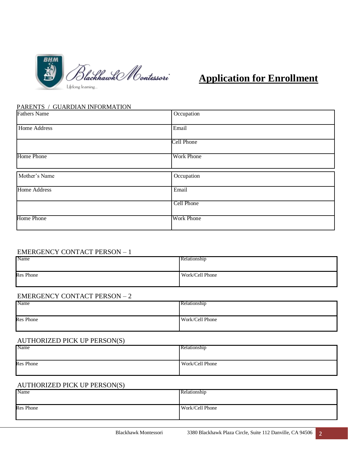

### PARENTS / GUARDIAN INFORMATION

| <b>Fathers Name</b> | Occupation        |
|---------------------|-------------------|
| Home Address        | Email             |
|                     | Cell Phone        |
| Home Phone          | <b>Work Phone</b> |
| Mother's Name       | Occupation        |
| <b>Home Address</b> | Email             |
|                     | <b>Cell Phone</b> |
| Home Phone          | <b>Work Phone</b> |

| <b>EMERGENCY CONTACT PERSON - 1</b> |                 |
|-------------------------------------|-----------------|
| Name                                | Relationship    |
|                                     |                 |
| <b>Res</b> Phone                    | Work/Cell Phone |
|                                     |                 |

| <b>EMERGENCY CONTACT PERSON - 2</b> |                 |  |
|-------------------------------------|-----------------|--|
| Name                                | Relationship    |  |
|                                     |                 |  |
| <b>Res</b> Phone                    | Work/Cell Phone |  |
|                                     |                 |  |

| <b>AUTHORIZED PICK UP PERSON(S)</b> |                 |
|-------------------------------------|-----------------|
| Name                                | Relationship    |
|                                     |                 |
| <b>Res</b> Phone                    | Work/Cell Phone |
|                                     |                 |

| Relationship    |
|-----------------|
|                 |
| Work/Cell Phone |
|                 |